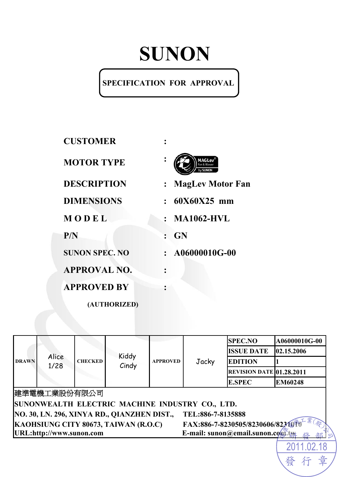# **SUNON**

#### **SPECIFICATION FOR APPROVAL**

| <b>CUSTOMER</b>       |                                           |
|-----------------------|-------------------------------------------|
| <b>MOTOR TYPE</b>     |                                           |
| <b>DESCRIPTION</b>    | <b>MagLev Motor Fan</b><br>$\ddot{\cdot}$ |
| <b>DIMENSIONS</b>     | $: 60X60X25$ mm                           |
| MODEL                 | $:$ MA1062-HVL                            |
| P/N                   | <b>GN</b>                                 |
| <b>SUNON SPEC. NO</b> | $: A06000010G-00$                         |
| <b>APPROVAL NO.</b>   |                                           |
| <b>APPROVED BY</b>    |                                           |
| (AUTHORIZED)          |                                           |

| <b>DRAWN</b>                                                                   |                          | <b>SPEC.NO</b> | A06000010G-00                                   |                 |                   |                                 |                |
|--------------------------------------------------------------------------------|--------------------------|----------------|-------------------------------------------------|-----------------|-------------------|---------------------------------|----------------|
|                                                                                | Alice<br>1/28            |                | Kiddy<br>Cindy                                  | <b>APPROVED</b> | Jacky             | <b>ISSUE DATE</b>               | 02.15.2006     |
|                                                                                |                          | <b>CHECKED</b> |                                                 |                 |                   | <b>EDITION</b>                  |                |
|                                                                                |                          |                |                                                 |                 |                   | <b>REVISION DATE 01.28.2011</b> |                |
|                                                                                |                          |                |                                                 |                 |                   | <b>E.SPEC</b>                   | <b>EM60248</b> |
|                                                                                | 建準電機工業股份有限公司             |                |                                                 |                 |                   |                                 |                |
|                                                                                |                          |                | SUNONWEALTH ELECTRIC MACHINE INDUSTRY CO., LTD. |                 |                   |                                 |                |
|                                                                                |                          |                | NO. 30, LN. 296, XINYA RD., QIANZHEN DIST.,     |                 | TEL:886-7-8135888 |                                 |                |
| 業<br>FAX:886-7-8230505/8230606/82340T0<br>KAOHSIUNG CITY 80673, TAIWAN (R.O.C) |                          |                |                                                 |                 |                   |                                 |                |
|                                                                                | URL:http://www.sunon.com |                |                                                 |                 |                   | E-mail: sunon@email.sunon.com.  |                |
|                                                                                |                          |                |                                                 |                 |                   |                                 |                |
|                                                                                |                          |                |                                                 |                 |                   |                                 |                |

發

行

章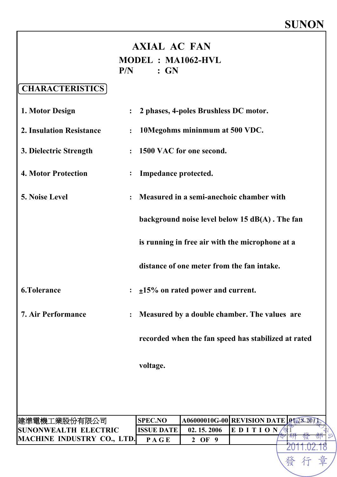發

章

行

#### **AXIAL AC FAN MODEL : MA1062-HVL P/N : GN**

#### **CHARACTERISTICS**

| 1. Motor Design                 | 2 phases, 4-poles Brushless DC motor.                          |
|---------------------------------|----------------------------------------------------------------|
| <b>2. Insulation Resistance</b> | 10Megohms mininmum at 500 VDC.<br>$\ddot{\cdot}$               |
| 3. Dielectric Strength          | 1500 VAC for one second.                                       |
| <b>4. Motor Protection</b>      | Impedance protected.<br>$\ddot{\cdot}$                         |
| 5. Noise Level                  | Measured in a semi-anechoic chamber with                       |
|                                 | background noise level below $15$ dB(A). The fan               |
|                                 | is running in free air with the microphone at a                |
|                                 | distance of one meter from the fan intake.                     |
| <b>6.Tolerance</b>              | $\pm$ 15% on rated power and current.                          |
| <b>7. Air Performance</b>       | Measured by a double chamber. The values are<br>$\ddot{\cdot}$ |
|                                 | recorded when the fan speed has stabilized at rated            |
|                                 | voltage.                                                       |
|                                 |                                                                |
|                                 |                                                                |

| 建準電機工業股份有限公司                      | <b>SPEC.NO</b>     |            | <b>A06000010G-00 REVISION DATE 0128.201</b> |        |
|-----------------------------------|--------------------|------------|---------------------------------------------|--------|
| <b>ISUNONWEALTH ELECTRIC</b>      | <b>IISSUE DATE</b> | 02.15.2006 | IEDIT                                       |        |
| <b>MACHINE INDUSTRY CO., LTD.</b> | P A G E            | $2$ OF     |                                             | 部<br>续 |
|                                   |                    |            |                                             |        |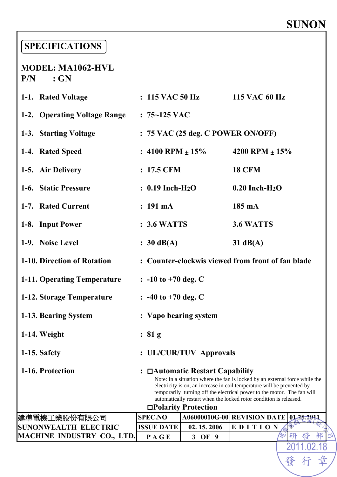## **SUNON**

發行章

#### **SPECIFICATIONS**

#### **MODEL: MA1062-HVL P/N : GN**

| 1-1. Rated Voltage                |                                                                                                                                                                                                                                                                                                                                                                            | $: 115$ VAC 50 Hz                                 | 115 VAC 60 Hz                |        |  |  |
|-----------------------------------|----------------------------------------------------------------------------------------------------------------------------------------------------------------------------------------------------------------------------------------------------------------------------------------------------------------------------------------------------------------------------|---------------------------------------------------|------------------------------|--------|--|--|
| 1-2. Operating Voltage Range      | $: 75 - 125$ VAC                                                                                                                                                                                                                                                                                                                                                           |                                                   |                              |        |  |  |
| 1-3. Starting Voltage             | : 75 VAC (25 deg. C POWER ON/OFF)                                                                                                                                                                                                                                                                                                                                          |                                                   |                              |        |  |  |
| 1-4. Rated Speed                  | : $4100$ RPM $\pm 15\%$                                                                                                                                                                                                                                                                                                                                                    |                                                   | 4200 RPM $\pm 15\%$          |        |  |  |
| 1-5. Air Delivery                 | $: 17.5$ CFM                                                                                                                                                                                                                                                                                                                                                               |                                                   | <b>18 CFM</b>                |        |  |  |
| 1-6. Static Pressure              | $: 0.19$ Inch-H <sub>2</sub> O                                                                                                                                                                                                                                                                                                                                             |                                                   | $0.20$ Inch-H <sub>2</sub> O |        |  |  |
| 1-7. Rated Current                | $: 191 \text{ mA}$                                                                                                                                                                                                                                                                                                                                                         |                                                   | 185 mA                       |        |  |  |
| 1-8. Input Power                  | : 3.6 WATTS                                                                                                                                                                                                                                                                                                                                                                |                                                   | 3.6 WATTS                    |        |  |  |
| 1-9. Noise Level                  | $: 30 \text{ dB}(A)$                                                                                                                                                                                                                                                                                                                                                       |                                                   | $31 \text{ dB}(A)$           |        |  |  |
| 1-10. Direction of Rotation       |                                                                                                                                                                                                                                                                                                                                                                            | : Counter-clockwis viewed from front of fan blade |                              |        |  |  |
| 1-11. Operating Temperature       | $\therefore$ -10 to +70 deg. C                                                                                                                                                                                                                                                                                                                                             |                                                   |                              |        |  |  |
| 1-12. Storage Temperature         | $\therefore$ -40 to +70 deg. C                                                                                                                                                                                                                                                                                                                                             |                                                   |                              |        |  |  |
| 1-13. Bearing System              | : Vapo bearing system                                                                                                                                                                                                                                                                                                                                                      |                                                   |                              |        |  |  |
| 1-14. Weight                      | : 81 g                                                                                                                                                                                                                                                                                                                                                                     |                                                   |                              |        |  |  |
| 1-15. Safety                      |                                                                                                                                                                                                                                                                                                                                                                            | : UL/CUR/TUV Approvals                            |                              |        |  |  |
| 1-16. Protection                  | □ <b>△ Automatic Restart Capability</b><br>Note: In a situation where the fan is locked by an external force while the<br>electricity is on, an increase in coil temperature will be prevented by<br>temporarily turning off the electrical power to the motor. The fan will<br>automatically restart when the locked rotor condition is released.<br>□Polarity Protection |                                                   |                              |        |  |  |
| 建準電機工業股份有限公司                      | <b>SPEC.NO</b>                                                                                                                                                                                                                                                                                                                                                             | A06000010G-00 REVISION DATE 01-28-2011            |                              |        |  |  |
| <b>SUNONWEALTH ELECTRIC</b>       | <b>ISSUE DATE</b>                                                                                                                                                                                                                                                                                                                                                          | 02.15.2006                                        | EDITION                      | ఘ      |  |  |
| <b>MACHINE INDUSTRY CO., LTD.</b> | PAGE                                                                                                                                                                                                                                                                                                                                                                       | 3 OF 9                                            |                              | 部<br>研 |  |  |
|                                   |                                                                                                                                                                                                                                                                                                                                                                            |                                                   |                              |        |  |  |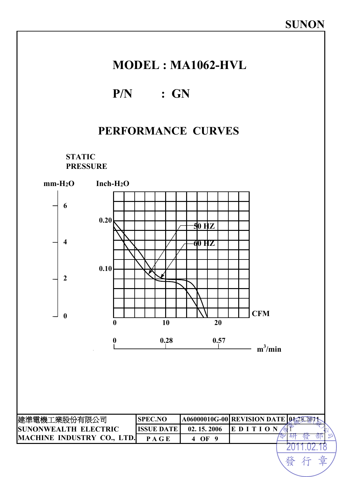

發 行

章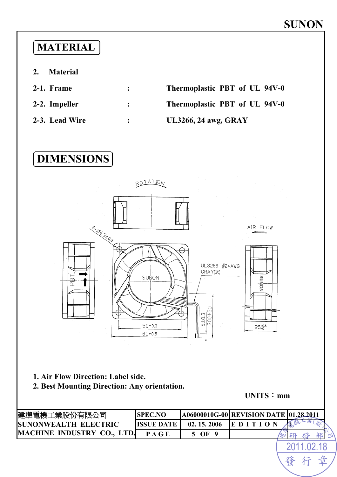#### **MATERIAL**

- **2. Material**
- 
- 

**2-1. Frame : Thermoplastic PBT of UL 94V-0 2-2. Impeller : Thermoplastic PBT of UL 94V-0 2-3. Lead Wire : UL3266, 24 awg, GRAY** 





- **1. Air Flow Direction: Label side.**
- **2. Best Mounting Direction: Any orientation.**

**UNITS**:**mm**

發

草

| 建準電機工業股份有限公司                       | <b>SPEC.NO</b>    |            | A06000010G-00 REVISION DATE 01.28.2011 |   |
|------------------------------------|-------------------|------------|----------------------------------------|---|
| <b>ISUNONWEALTH ELECTRIC</b>       | <b>ISSUE DATE</b> | 02.15.2006 |                                        |   |
| <b>IMACHINE INDUSTRY CO., LTD.</b> | PAGE              | OF         |                                        | 浊 |
|                                    |                   |            |                                        |   |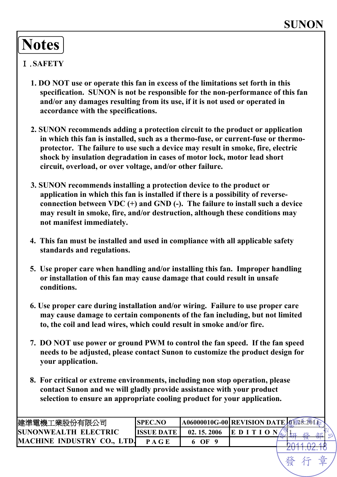## **Notes**

#### Ⅰ.**SAFETY**

- **1. DO NOT use or operate this fan in excess of the limitations set forth in this specification. SUNON is not be responsible for the non-performance of this fan and/or any damages resulting from its use, if it is not used or operated in accordance with the specifications.**
- **2. SUNON recommends adding a protection circuit to the product or application in which this fan is installed, such as a thermo-fuse, or current-fuse or thermoprotector. The failure to use such a device may result in smoke, fire, electric shock by insulation degradation in cases of motor lock, motor lead short circuit, overload, or over voltage, and/or other failure.**
- **3. SUNON recommends installing a protection device to the product or application in which this fan is installed if there is a possibility of reverseconnection between VDC (+) and GND (-). The failure to install such a device may result in smoke, fire, and/or destruction, although these conditions may not manifest immediately.**
- **4. This fan must be installed and used in compliance with all applicable safety standards and regulations.**
- **5. Use proper care when handling and/or installing this fan. Improper handling or installation of this fan may cause damage that could result in unsafe conditions.**
- **6. Use proper care during installation and/or wiring. Failure to use proper care may cause damage to certain components of the fan including, but not limited to, the coil and lead wires, which could result in smoke and/or fire.**
- **7. DO NOT use power or ground PWM to control the fan speed. If the fan speed needs to be adjusted, please contact Sunon to customize the product design for your application.**
- **8. For critical or extreme environments, including non stop operation, please contact Sunon and we will gladly provide assistance with your product selection to ensure an appropriate cooling product for your application.**

| 建準電機工業股份有限公司                      | <b>ISPEC.NO</b> | <b>A06000010G-00 REVISION DATE A 図表通信</b> |      |  |
|-----------------------------------|-----------------|-------------------------------------------|------|--|
| <b>ISUNONWEALTH ELECTRIC</b>      | IISSHE DATE     | 02.15.2006                                | EDIT |  |
| <b>MACHINE INDUSTRY CO., LTD.</b> | P A G E         | OF                                        |      |  |
|                                   |                 |                                           |      |  |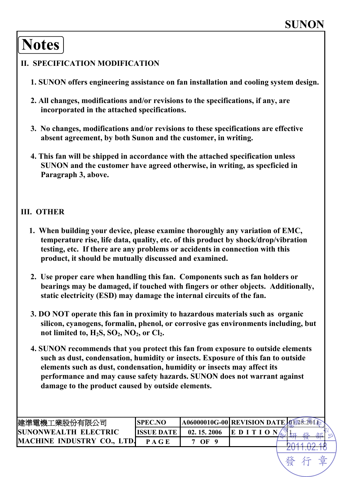## **Notes**

#### **II. SPECIFICATION MODIFICATION**

- **1. SUNON offers engineering assistance on fan installation and cooling system design.**
- **2. All changes, modifications and/or revisions to the specifications, if any, are incorporated in the attached specifications.**
- **3. No changes, modifications and/or revisions to these specifications are effective absent agreement, by both Sunon and the customer, in writing.**
- **4. This fan will be shipped in accordance with the attached specification unless SUNON and the customer have agreed otherwise, in writing, as specficied in Paragraph 3, above.**

#### **III. OTHER**

- **1. When building your device, please examine thoroughly any variation of EMC, temperature rise, life data, quality, etc. of this product by shock/drop/vibration testing, etc. If there are any problems or accidents in connection with this product, it should be mutually discussed and examined.**
- **2. Use proper care when handling this fan. Components such as fan holders or bearings may be damaged, if touched with fingers or other objects. Additionally, static electricity (ESD) may damage the internal circuits of the fan.**
- **3. DO NOT operate this fan in proximity to hazardous materials such as organic silicon, cyanogens, formalin, phenol, or corrosive gas environments including, but**  not limited to,  $H_2S$ ,  $SO_2$ ,  $NO_2$ , or  $Cl_2$ .
- **4. SUNON recommends that you protect this fan from exposure to outside elements such as dust, condensation, humidity or insects. Exposure of this fan to outside elements such as dust, condensation, humidity or insects may affect its performance and may cause safety hazards. SUNON does not warrant against damage to the product caused by outside elements.**

| 建準電機工業股份有限公司                 | <b>ISPEC.NO</b>   | <b>A06000010G-00 REVISION DATE AND</b> |        |            |
|------------------------------|-------------------|----------------------------------------|--------|------------|
| <b>ISUNONWEALTH ELECTRIC</b> | <b>ISSUE DATE</b> | 02.15.2006                             | IE D I | 部<br>-21 D |
| <b>MACHINE INDUSTRY CO.,</b> | P A G E           | OF                                     |        |            |
|                              |                   |                                        |        |            |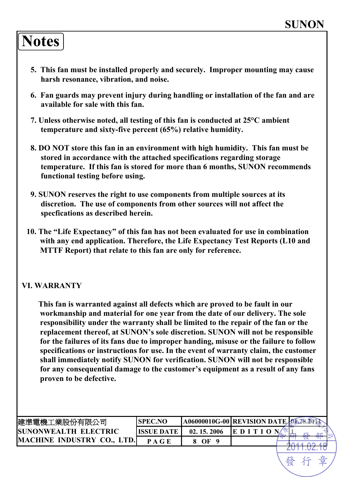### **Notes**

- **5. This fan must be installed properly and securely. Improper mounting may cause harsh resonance, vibration, and noise.**
- **6. Fan guards may prevent injury during handling or installation of the fan and are available for sale with this fan.**
- **7. Unless otherwise noted, all testing of this fan is conducted at 25°C ambient temperature and sixty-five percent (65%) relative humidity.**
- **8. DO NOT store this fan in an environment with high humidity. This fan must be stored in accordance with the attached specifications regarding storage temperature. If this fan is stored for more than 6 months, SUNON recommends functional testing before using.**
- **9. SUNON reserves the right to use components from multiple sources at its discretion. The use of components from other sources will not affect the specfications as described herein.**
- **10. The "Life Expectancy" of this fan has not been evaluated for use in combination with any end application. Therefore, the Life Expectancy Test Reports (L10 and MTTF Report) that relate to this fan are only for reference.**

#### **VI. WARRANTY**

**This fan is warranted against all defects which are proved to be fault in our workmanship and material for one year from the date of our delivery. The sole responsibility under the warranty shall be limited to the repair of the fan or the replacement thereof, at SUNON's sole discretion. SUNON will not be responsible for the failures of its fans due to improper handing, misuse or the failure to follow specifications or instructions for use. In the event of warranty claim, the customer shall immediately notify SUNON for verification. SUNON will not be responsible for any consequential damage to the customer's equipment as a result of any fans proven to be defective.** 

| 建準電機工業股份有限公司                 | <b>SPEC.NO</b>    | A06000010G-00 REVISION DATE A 28. |        |        |
|------------------------------|-------------------|-----------------------------------|--------|--------|
| <b>ISUNONWEALTH ELECTRIC</b> | <b>ISSUE DATE</b> | 02.15.2006                        | IE D I | حالاته |
| MACHINE INDUSTRY CO., LTD.   |                   | OЕ                                |        |        |
|                              |                   |                                   |        |        |